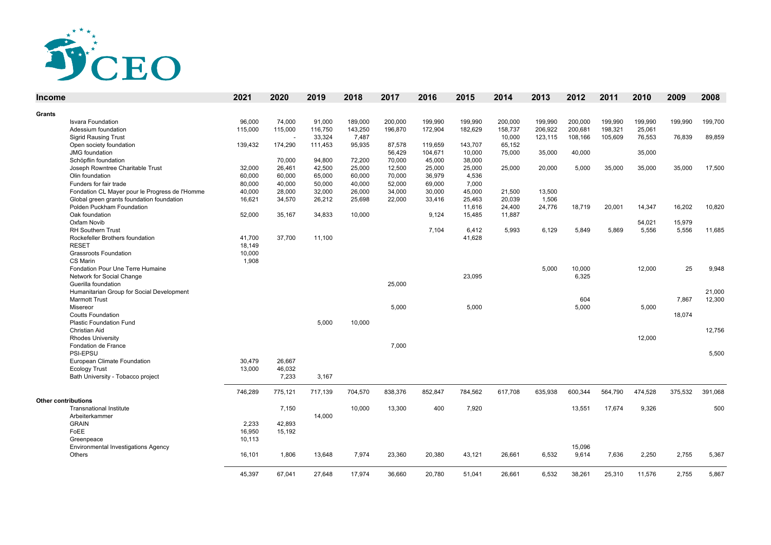

| <b>Income</b> |                                                | 2021    | 2020    | 2019    | 2018    | 2017    | 2016    | 2015    | 2014    | 2013    | 2012    | 2011    | 2010    | 2009    | 2008    |
|---------------|------------------------------------------------|---------|---------|---------|---------|---------|---------|---------|---------|---------|---------|---------|---------|---------|---------|
| Grants        |                                                |         |         |         |         |         |         |         |         |         |         |         |         |         |         |
|               | <b>Isvara Foundation</b>                       | 96.000  | 74,000  | 91,000  | 189,000 | 200,000 | 199,990 | 199,990 | 200,000 | 199,990 | 200,000 | 199,990 | 199.990 | 199,990 | 199,700 |
|               | Adessium foundation                            | 115,000 | 115,000 | 116,750 | 143,250 | 196.870 | 172.904 | 182.629 | 158,737 | 206,922 | 200,681 | 198,321 | 25.061  |         |         |
|               | <b>Sigrid Rausing Trust</b>                    |         |         | 33,324  | 7,487   |         |         |         | 10,000  | 123,115 | 108,166 | 105,609 | 76,553  | 76,839  | 89,859  |
|               | Open society foundation                        | 139,432 | 174,290 | 111.453 | 95,935  | 87,578  | 119,659 | 143,707 | 65,152  |         |         |         |         |         |         |
|               | <b>JMG</b> foundation                          |         |         |         |         | 56,429  | 104,671 | 10,000  | 75,000  | 35,000  | 40,000  |         | 35,000  |         |         |
|               | Schöpflin foundation                           |         | 70,000  | 94,800  | 72,200  | 70,000  | 45,000  | 38,000  |         |         |         |         |         |         |         |
|               | Joseph Rowntree Charitable Trust               | 32,000  | 26,461  | 42,500  | 25,000  | 12,500  | 25,000  | 25,000  | 25,000  | 20,000  | 5,000   | 35,000  | 35,000  | 35,000  | 17,500  |
|               | Olin foundation                                | 60,000  | 60,000  | 65,000  | 60,000  | 70,000  | 36,979  | 4,536   |         |         |         |         |         |         |         |
|               | Funders for fair trade                         | 80,000  | 40,000  | 50,000  | 40,000  | 52,000  | 69,000  | 7,000   |         |         |         |         |         |         |         |
|               | Fondation CL Mayer pour le Progress de l'Homme | 40,000  | 28,000  | 32,000  | 26,000  | 34,000  | 30,000  | 45,000  | 21,500  | 13,500  |         |         |         |         |         |
|               | Global green grants foundation foundation      | 16,621  | 34,570  | 26,212  | 25,698  | 22,000  | 33,416  | 25,463  | 20,039  | 1,506   |         |         |         |         |         |
|               | Polden Puckham Foundation                      |         |         |         |         |         |         | 11,616  | 24,400  | 24,776  | 18,719  | 20,001  | 14,347  | 16,202  | 10,820  |
|               | Oak foundation                                 | 52,000  | 35,167  | 34,833  | 10,000  |         | 9,124   | 15,485  | 11,887  |         |         |         |         |         |         |
|               | Oxfam Novib                                    |         |         |         |         |         |         |         |         |         |         |         | 54,021  | 15,979  |         |
|               | <b>RH Southern Trust</b>                       |         |         |         |         |         | 7,104   | 6,412   | 5,993   | 6,129   | 5,849   | 5,869   | 5,556   | 5,556   | 11,685  |
|               | Rockefeller Brothers foundation                | 41,700  | 37,700  | 11,100  |         |         |         | 41,628  |         |         |         |         |         |         |         |
|               | <b>RESET</b>                                   | 18,149  |         |         |         |         |         |         |         |         |         |         |         |         |         |
|               | <b>Grassroots Foundation</b>                   | 10,000  |         |         |         |         |         |         |         |         |         |         |         |         |         |
|               | CS Marin                                       | 1,908   |         |         |         |         |         |         |         |         |         |         |         |         |         |
|               | Fondation Pour Une Terre Humaine               |         |         |         |         |         |         |         |         | 5,000   | 10,000  |         | 12,000  | 25      | 9,948   |
|               | Network for Social Change                      |         |         |         |         |         |         | 23,095  |         |         | 6,325   |         |         |         |         |
|               | Guerilla foundation                            |         |         |         |         | 25.000  |         |         |         |         |         |         |         |         |         |
|               | Humanitarian Group for Social Development      |         |         |         |         |         |         |         |         |         |         |         |         |         | 21,000  |
|               | <b>Marmott Trust</b>                           |         |         |         |         |         |         |         |         |         | 604     |         |         | 7,867   | 12,300  |
|               | Misereor                                       |         |         |         |         | 5,000   |         | 5.000   |         |         | 5.000   |         | 5,000   |         |         |
|               | <b>Coutts Foundation</b>                       |         |         |         |         |         |         |         |         |         |         |         |         | 18,074  |         |
|               | <b>Plastic Foundation Fund</b>                 |         |         | 5,000   | 10,000  |         |         |         |         |         |         |         |         |         |         |
|               | Christian Aid                                  |         |         |         |         |         |         |         |         |         |         |         |         |         | 12,756  |
|               | <b>Rhodes University</b>                       |         |         |         |         |         |         |         |         |         |         |         | 12,000  |         |         |
|               | Fondation de France                            |         |         |         |         | 7.000   |         |         |         |         |         |         |         |         |         |
|               | PSI-EPSU                                       |         |         |         |         |         |         |         |         |         |         |         |         |         | 5,500   |
|               | European Climate Foundation                    | 30,479  | 26,667  |         |         |         |         |         |         |         |         |         |         |         |         |
|               | <b>Ecology Trust</b>                           | 13,000  | 46,032  |         |         |         |         |         |         |         |         |         |         |         |         |
|               | Bath University - Tobacco project              |         | 7,233   | 3,167   |         |         |         |         |         |         |         |         |         |         |         |
|               |                                                | 746,289 | 775,121 | 717,139 | 704,570 | 838,376 | 852,847 | 784,562 | 617,708 | 635,938 | 600,344 | 564,790 | 474,528 | 375,532 | 391,068 |
|               | Other contributions                            |         |         |         |         |         |         |         |         |         |         |         |         |         |         |
|               | <b>Transnational Institute</b>                 |         | 7,150   |         | 10,000  | 13,300  | 400     | 7,920   |         |         | 13,551  | 17,674  | 9,326   |         | 500     |
|               | Arbeiterkammer                                 |         |         | 14,000  |         |         |         |         |         |         |         |         |         |         |         |
|               | <b>GRAIN</b>                                   | 2,233   | 42,893  |         |         |         |         |         |         |         |         |         |         |         |         |
|               | FoEE                                           | 16,950  | 15,192  |         |         |         |         |         |         |         |         |         |         |         |         |
|               | Greenpeace                                     | 10,113  |         |         |         |         |         |         |         |         |         |         |         |         |         |
|               | <b>Environmental Investigations Agency</b>     |         |         |         |         |         |         |         |         |         | 15,096  |         |         |         |         |
|               | Others                                         | 16,101  | 1,806   | 13,648  | 7,974   | 23,360  | 20,380  | 43,121  | 26,661  | 6,532   | 9,614   | 7,636   | 2,250   | 2,755   | 5,367   |
|               |                                                |         |         |         |         |         |         |         |         |         |         |         |         |         |         |
|               |                                                | 45.397  | 67.041  | 27.648  | 17.974  | 36,660  | 20.780  | 51.041  | 26.661  | 6,532   | 38,261  | 25,310  | 11.576  | 2.755   | 5,867   |